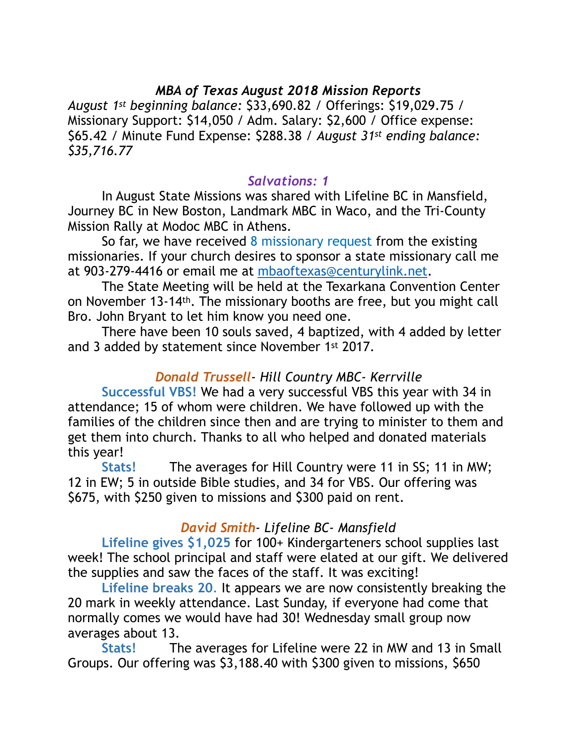# *MBA of Texas August 2018 Mission Reports*

*August 1st beginning balance:* \$33,690.82 / Offerings: \$19,029.75 / Missionary Support: \$14,050 / Adm. Salary: \$2,600 / Office expense: \$65.42 / Minute Fund Expense: \$288.38 / *August 31st ending balance: \$35,716.77* 

## *Salvations: 1*

 In August State Missions was shared with Lifeline BC in Mansfield, Journey BC in New Boston, Landmark MBC in Waco, and the Tri-County Mission Rally at Modoc MBC in Athens.

So far, we have received 8 missionary request from the existing missionaries. If your church desires to sponsor a state missionary call me at 903-279-4416 or email me at [mbaoftexas@centurylink.net.](mailto:mbaoftexas@centurylink.net)

 The State Meeting will be held at the Texarkana Convention Center on November 13-14th. The missionary booths are free, but you might call Bro. John Bryant to let him know you need one.

 There have been 10 souls saved, 4 baptized, with 4 added by letter and 3 added by statement since November 1st 2017.

## *Donald Trussell- Hill Country MBC- Kerrville*

**Successful VBS!** We had a very successful VBS this year with 34 in attendance; 15 of whom were children. We have followed up with the families of the children since then and are trying to minister to them and get them into church. Thanks to all who helped and donated materials this year!

 **Stats!** The averages for Hill Country were 11 in SS; 11 in MW; 12 in EW; 5 in outside Bible studies, and 34 for VBS. Our offering was \$675, with \$250 given to missions and \$300 paid on rent.

### *David Smith- Lifeline BC- Mansfield*

**Lifeline gives \$1,025** for 100+ Kindergarteners school supplies last week! The school principal and staff were elated at our gift. We delivered the supplies and saw the faces of the staff. It was exciting!

**Lifeline breaks 20**. It appears we are now consistently breaking the 20 mark in weekly attendance. Last Sunday, if everyone had come that normally comes we would have had 30! Wednesday small group now averages about 13.

 **Stats!** The averages for Lifeline were 22 in MW and 13 in Small Groups. Our offering was \$3,188.40 with \$300 given to missions, \$650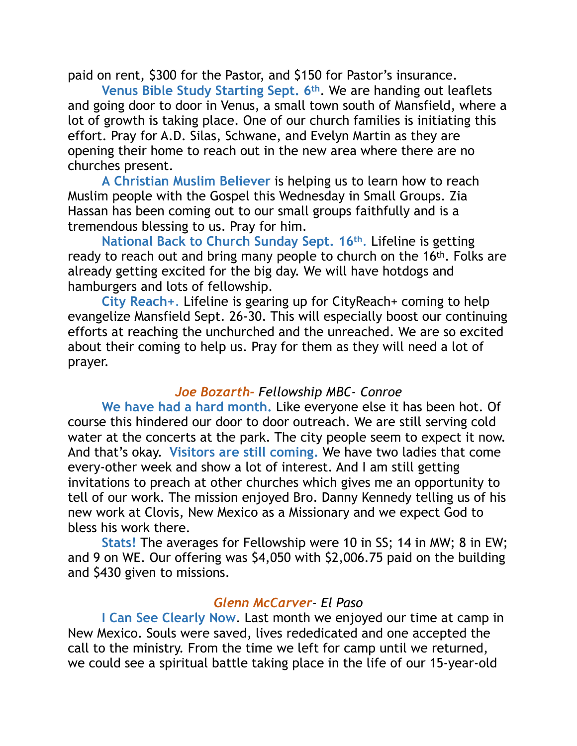paid on rent, \$300 for the Pastor, and \$150 for Pastor's insurance.

**Venus Bible Study Starting Sept. 6th**. We are handing out leaflets and going door to door in Venus, a small town south of Mansfield, where a lot of growth is taking place. One of our church families is initiating this effort. Pray for A.D. Silas, Schwane, and Evelyn Martin as they are opening their home to reach out in the new area where there are no churches present.

**A Christian Muslim Believer** is helping us to learn how to reach Muslim people with the Gospel this Wednesday in Small Groups. Zia Hassan has been coming out to our small groups faithfully and is a tremendous blessing to us. Pray for him.

**National Back to Church Sunday Sept. 16th**. Lifeline is getting ready to reach out and bring many people to church on the 16<sup>th</sup>. Folks are already getting excited for the big day. We will have hotdogs and hamburgers and lots of fellowship.

**City Reach+**. Lifeline is gearing up for CityReach+ coming to help evangelize Mansfield Sept. 26-30. This will especially boost our continuing efforts at reaching the unchurched and the unreached. We are so excited about their coming to help us. Pray for them as they will need a lot of prayer.

### *Joe Bozarth- Fellowship MBC- Conroe*

**We have had a hard month.** Like everyone else it has been hot. Of course this hindered our door to door outreach. We are still serving cold water at the concerts at the park. The city people seem to expect it now. And that's okay. **Visitors are still coming.** We have two ladies that come every-other week and show a lot of interest. And I am still getting invitations to preach at other churches which gives me an opportunity to tell of our work. The mission enjoyed Bro. Danny Kennedy telling us of his new work at Clovis, New Mexico as a Missionary and we expect God to bless his work there.

**Stats!** The averages for Fellowship were 10 in SS; 14 in MW; 8 in EW; and 9 on WE. Our offering was \$4,050 with \$2,006.75 paid on the building and \$430 given to missions.

## *Glenn McCarver- El Paso*

**I Can See Clearly Now**. Last month we enjoyed our time at camp in New Mexico. Souls were saved, lives rededicated and one accepted the call to the ministry. From the time we left for camp until we returned, we could see a spiritual battle taking place in the life of our 15-year-old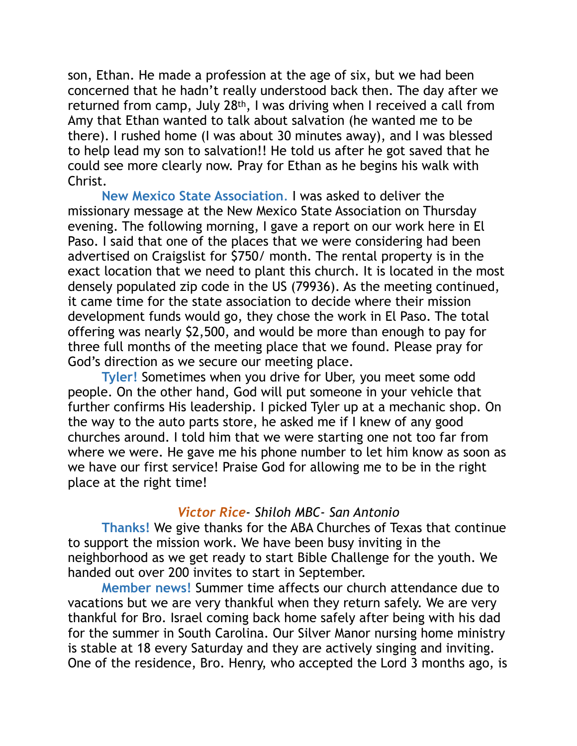son, Ethan. He made a profession at the age of six, but we had been concerned that he hadn't really understood back then. The day after we returned from camp, July 28th, I was driving when I received a call from Amy that Ethan wanted to talk about salvation (he wanted me to be there). I rushed home (I was about 30 minutes away), and I was blessed to help lead my son to salvation!! He told us after he got saved that he could see more clearly now. Pray for Ethan as he begins his walk with Christ.

**New Mexico State Association**. I was asked to deliver the missionary message at the New Mexico State Association on Thursday evening. The following morning, I gave a report on our work here in El Paso. I said that one of the places that we were considering had been advertised on Craigslist for \$750/ month. The rental property is in the exact location that we need to plant this church. It is located in the most densely populated zip code in the US (79936). As the meeting continued, it came time for the state association to decide where their mission development funds would go, they chose the work in El Paso. The total offering was nearly \$2,500, and would be more than enough to pay for three full months of the meeting place that we found. Please pray for God's direction as we secure our meeting place.

**Tyler!** Sometimes when you drive for Uber, you meet some odd people. On the other hand, God will put someone in your vehicle that further confirms His leadership. I picked Tyler up at a mechanic shop. On the way to the auto parts store, he asked me if I knew of any good churches around. I told him that we were starting one not too far from where we were. He gave me his phone number to let him know as soon as we have our first service! Praise God for allowing me to be in the right place at the right time!

#### *Victor Rice- Shiloh MBC- San Antonio*

 **Thanks!** We give thanks for the ABA Churches of Texas that continue to support the mission work. We have been busy inviting in the neighborhood as we get ready to start Bible Challenge for the youth. We handed out over 200 invites to start in September.

**Member news!** Summer time affects our church attendance due to vacations but we are very thankful when they return safely. We are very thankful for Bro. Israel coming back home safely after being with his dad for the summer in South Carolina. Our Silver Manor nursing home ministry is stable at 18 every Saturday and they are actively singing and inviting. One of the residence, Bro. Henry, who accepted the Lord 3 months ago, is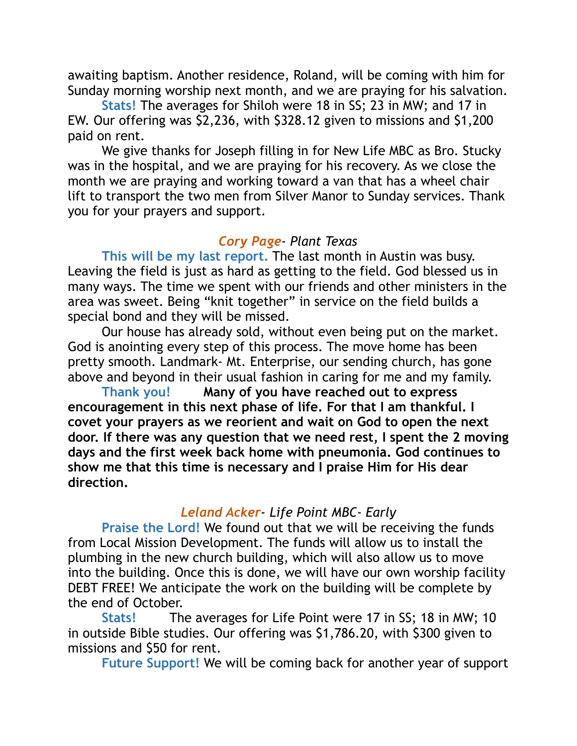awaiting baptism. Another residence, Roland, will be coming with him for Sunday morning worship next month, and we are praying for his salvation.

**Stats!** The averages for Shiloh were 18 in SS; 23 in MW; and 17 in EW. Our offering was \$2,236, with \$328.12 given to missions and \$1,200 paid on rent.

 We give thanks for Joseph filling in for New Life MBC as Bro. Stucky was in the hospital, and we are praying for his recovery. As we close the month we are praying and working toward a van that has a wheel chair lift to transport the two men from Silver Manor to Sunday services. Thank you for your prayers and support.

## *Cory Page- Plant Texas*

**This will be my last report.** The last month in Austin was busy. Leaving the field is just as hard as getting to the field. God blessed us in many ways. The time we spent with our friends and other ministers in the area was sweet. Being "knit together" in service on the field builds a special bond and they will be missed.

 Our house has already sold, without even being put on the market. God is anointing every step of this process. The move home has been pretty smooth. Landmark- Mt. Enterprise, our sending church, has gone above and beyond in their usual fashion in caring for me and my family.

 **Thank you! Many of you have reached out to express encouragement in this next phase of life. For that I am thankful. I covet your prayers as we reorient and wait on God to open the next door. If there was any question that we need rest, I spent the 2 moving days and the first week back home with pneumonia. God continues to show me that this time is necessary and I praise Him for His dear direction.** 

### *Leland Acker- Life Point MBC- Early*

**Praise the Lord!** We found out that we will be receiving the funds from Local Mission Development. The funds will allow us to install the plumbing in the new church building, which will also allow us to move into the building. Once this is done, we will have our own worship facility DEBT FREE! We anticipate the work on the building will be complete by the end of October.

**Stats!** The averages for Life Point were 17 in SS; 18 in MW; 10 in outside Bible studies. Our offering was \$1,786.20, with \$300 given to missions and \$50 for rent.

**Future Support!** We will be coming back for another year of support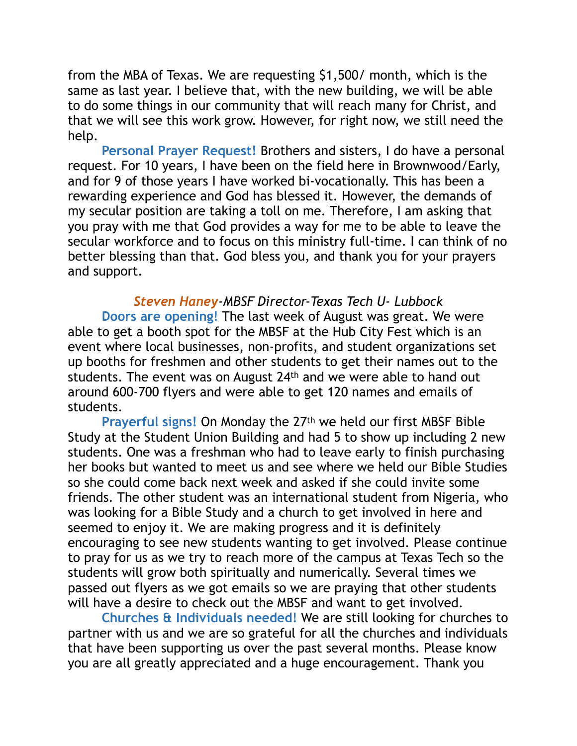from the MBA of Texas. We are requesting \$1,500/ month, which is the same as last year. I believe that, with the new building, we will be able to do some things in our community that will reach many for Christ, and that we will see this work grow. However, for right now, we still need the help.

**Personal Prayer Request!** Brothers and sisters, I do have a personal request. For 10 years, I have been on the field here in Brownwood/Early, and for 9 of those years I have worked bi-vocationally. This has been a rewarding experience and God has blessed it. However, the demands of my secular position are taking a toll on me. Therefore, I am asking that you pray with me that God provides a way for me to be able to leave the secular workforce and to focus on this ministry full-time. I can think of no better blessing than that. God bless you, and thank you for your prayers and support.

*Steven Haney-MBSF Director-Texas Tech U- Lubbock*  **Doors are opening!** The last week of August was great. We were able to get a booth spot for the MBSF at the Hub City Fest which is an event where local businesses, non-profits, and student organizations set up booths for freshmen and other students to get their names out to the students. The event was on August 24th and we were able to hand out around 600-700 flyers and were able to get 120 names and emails of students.

**Prayerful signs!** On Monday the 27th we held our first MBSF Bible Study at the Student Union Building and had 5 to show up including 2 new students. One was a freshman who had to leave early to finish purchasing her books but wanted to meet us and see where we held our Bible Studies so she could come back next week and asked if she could invite some friends. The other student was an international student from Nigeria, who was looking for a Bible Study and a church to get involved in here and seemed to enjoy it. We are making progress and it is definitely encouraging to see new students wanting to get involved. Please continue to pray for us as we try to reach more of the campus at Texas Tech so the students will grow both spiritually and numerically. Several times we passed out flyers as we got emails so we are praying that other students will have a desire to check out the MBSF and want to get involved.

**Churches & Individuals needed!** We are still looking for churches to partner with us and we are so grateful for all the churches and individuals that have been supporting us over the past several months. Please know you are all greatly appreciated and a huge encouragement. Thank you